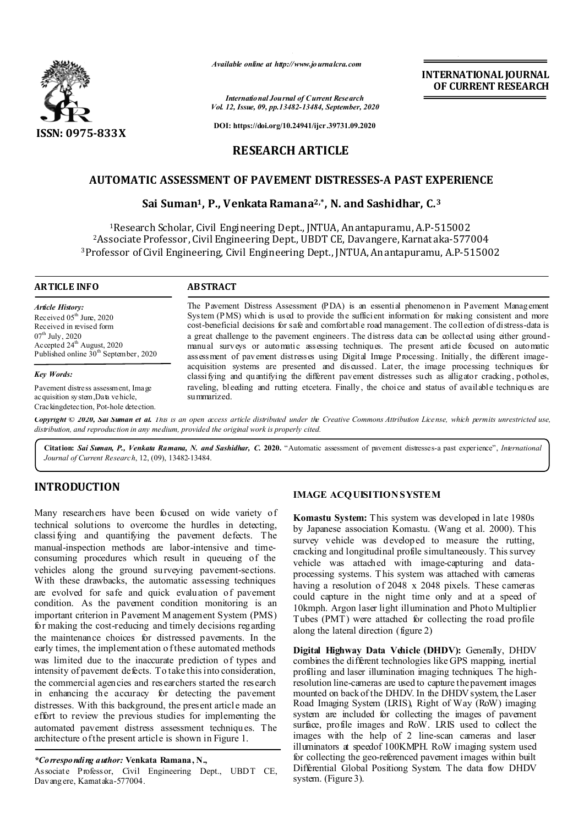

*Available online at http://www.journalcra.com*

*International Journal of Current Research Vol. 12, Issue, 09, pp.13482-13484, September, 2020*

**DOI: https://doi.org/10.24941/ijcr.39731.09.2020**

# **RESEARCH ARTICLE**

# **AUTOMATIC ASSESSMENT OF PAVEMENT DISTRESSES-A PAST EXPERIENCE**

# **Sai Suman1, P., Venkata Ramana2,\*, N. and Sashidhar, C.3**

1Research Scholar, Civil Engineering Dept., JNTUA, Anantapuramu, A.P-515002 2Associate Professor, Civil Engineering Dept., UBDT CE, Davangere, Karnataka-577004 3Professor of Civil Engineering, Civil Engineering Dept., JNTUA, Anantapuramu, A.P-515002

#### **ARTICLE INFO ABSTRACT**

*Article History:* Received 05<sup>th</sup> June, 2020 Received in revised form  $07^{\text{th}}$  July, 2020 Accepted 24<sup>th</sup> August, 2020 Published online  $30<sup>th</sup>$  September, 2020

*Key Words:*

Pavement distress assessment, Image acquisition system,Data vehicle, Crackingdetection, Pot-hole detection.

The Pavement Distress Assessment (PDA) is an essential phenomenon in Pavement Management System (PMS) which is used to provide the sufficient information for making consistent and more cost-beneficial decisions for safe and comfortable road management. The collection of distress-data is a great challenge to the pavement engineers. The distress data can be collected using either groundmanual surveys or automatic assessing techniques. The present article focused on automatic assessment of pavement distresses using Digital Image Processing. Initially, the different imageacquisition systems are presented and discussed. Later, the image processing techniques for classifying and quantifying the different pavement distresses such as alligator cracking, potholes, raveling, bleeding and rutting etcetera. Finally, the choice and status of available techniques are summarized.

Copyright © 2020, Sai Suman et al. This is an open access article distributed under the Creative Commons Attribution License, which permits unrestricted use, *distribution, and reproduction in any medium, provided the original work is properly cited.*

**Citation:** *Sai Suman, P., Venkata Ramana, N. and Sashidhar, C.* **2020.** "Automatic assessment of pavement distresses-a past experience", *International Journal of Current Research*, 12, (09), 13482-13484.

# **INTRODUCTION**

Many researchers have been focused on wide variety of technical solutions to overcome the hurdles in detecting, classi fying and quantifying the pavement defects. The manual-inspection methods are labor-intensive and timeconsuming procedures which result in queueing of the vehicles along the ground surveying pavement-sections. With these drawbacks, the automatic assessing techniques are evolved for safe and quick evaluation of pavement condition. As the pavement condition monitoring is an important criterion in Pavement M anagement System (PMS) for making the cost-reducing and timely decisions regarding the maintenance choices for distressed pavements. In the early times, the implementation of these automated methods was limited due to the inaccurate prediction of types and intensity of pavement defects. To take this into consideration, the commercial agencies and researchers started the research in enhancing the accuracy for detecting the pavement distresses. With this background, the present article made an effort to review the previous studies for implementing the automated pavement distress assessment techniques. The architecture of the present article is shown in Figure 1.

### *\*Corresponding author:* **Venkata Ramana, N.,**

Associate Professor, Civil Engineering Dept., UBDT CE, Davangere, Kamataka-577004.

## **IMAGE ACQ UISITION SYSTEM**

**Komastu System:** This system was developed in late 1980s by Japanese association Komastu. (Wang et al. 2000). This survey vehicle was developed to measure the rutting, cracking and longitudinal profile simultaneously. This survey vehicle was attached with image-capturing and dataprocessing systems. T his system was attached with cameras having a resolution of 2048 x 2048 pixels. These cameras could capture in the night time only and at a speed of 10kmph. Argon laser light illumination and Photo Multiplier Tubes (PMT) were attached for collecting the road profile along the lateral direction (figure 2)

**Digital Highway Data Vehicle (DHDV):** Generally, DHDV combines the different technologies like GPS mapping, inertial profiling and laser illumination imaging techniques. The highresolution line-cameras are used to capture the pavement images mounted on back of the DHDV. In the DHDV system, the Laser Road Imaging System (LRIS), Right of Way (RoW) imaging system are included for collecting the images of pavement surface, profile images and RoW. LRIS used to collect the images with the help of 2 line-scan cameras and laser illuminators at speedof 100KMPH. RoW imaging system used for collecting the geo-referenced pavement images within built Differential Global Positiong System. The data flow DHDV system. (Figure 3).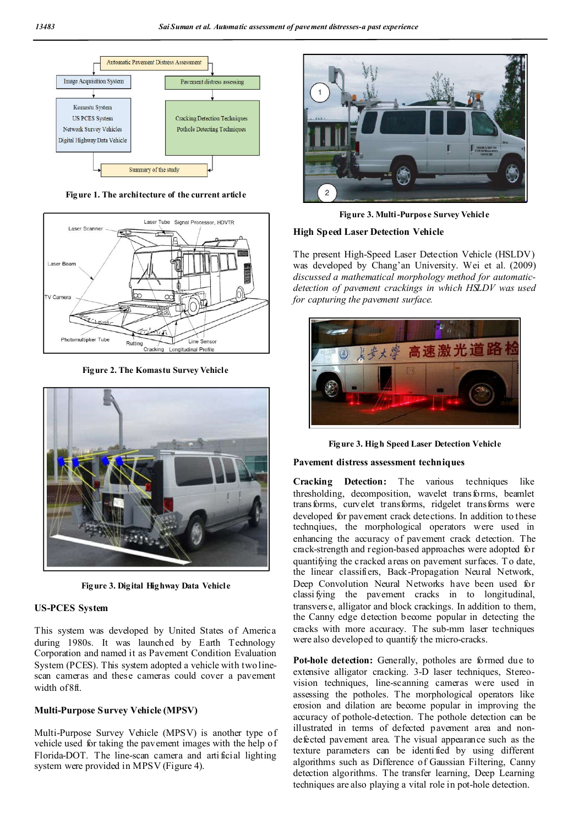

**Figure 1. The architecture of the current article**



**Figure 2. The Komastu Survey Vehicle**



**Figure 3. Digital Highway Data Vehicle**

## **US-PCES System**

This system was developed by United States of America during 1980s. It was launched by Earth Technology Corporation and named it as Pavement Condition Evaluation System (PCES). This system adopted a vehicle with two linescan cameras and these cameras could cover a pavement width of 8ft.

#### **Multi-Purpose Survey Vehicle (MPSV)**

Multi-Purpose Survey Vehicle (MPSV) is another type of vehicle used for taking the pavement images with the help of Florida-DOT. The line-scan camera and arti ficial lighting system were provided in MPSV (Figure 4).



**Figure 3. Multi-Purpose Survey Vehicle**

## **High Speed Laser Detection Vehicle**

The present High-Speed Laser Detection Vehicle (HSLDV) was developed by Chang'an University. Wei et al. (2009) *discussed a mathematical morphology method for automaticdetection of pavement crackings in which HSLDV was used for capturing the pavement surface.*



**Figure 3. High Speed Laser Detection Vehicle**

#### **Pavement distress assessment techniques**

**Cracking Detection:** The various techniques like thresholding, decomposition, wavelet transforms, beamlet transforms, curvelet transforms, ridgelet transforms were developed for pavement crack detections. In addition to these technqiues, the morphological operators were used in enhancing the accuracy of pavement crack detection. The crack-strength and region-based approaches were adopted for quantifying the cracked areas on pavement surfaces. To date, the linear classifiers, Back-Propagation Neural Network, Deep Convolution Neural Networks have been used for classi fying the pavement cracks in to longitudinal, transverse, alligator and block crackings. In addition to them, the Canny edge detection become popular in detecting the cracks with more accuracy. The sub-mm laser techniques were also developed to quantify the micro-cracks.

**Pot-hole detection:** Generally, potholes are formed due to extensive alligator cracking. 3-D laser techniques, Stereovision techniques, line-scanning cameras were used in assessing the potholes. The morphological operators like erosion and dilation are become popular in improving the accuracy of pothole-detection. The pothole detection can be illustrated in terms of defected pavement area and nondefected pavement area. The visual appearance such as the texture parameters can be identified by using different algorithms such as Difference of Gaussian Filtering, Canny detection algorithms. The transfer learning, Deep Learning techniques are also playing a vital role in pot-hole detection.